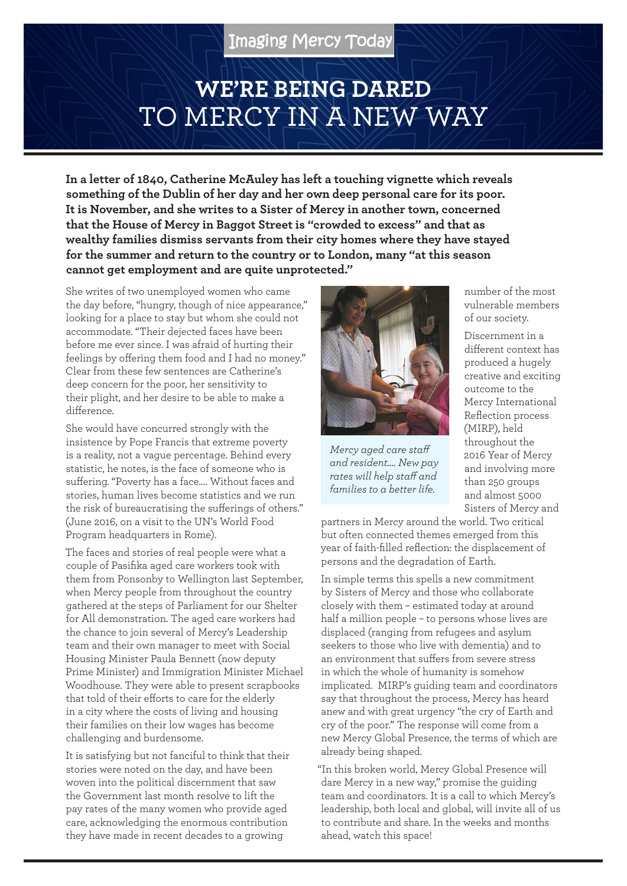# **WE'RE BEING DARED**  TO MERCY IN A NEW WAY

**In a letter of 1840, Catherine McAuley has left a touching vignette which reveals something of the Dublin of her day and her own deep personal care for its poor. It is November, and she writes to a Sister of Mercy in another town, concerned that the House of Mercy in Baggot Street is "crowded to excess" and that as wealthy families dismiss servants from their city homes where they have stayed for the summer and return to the country or to London, many "at this season cannot get employment and are quite unprotected."**

She writes of two unemployed women who came the day before, "hungry, though of nice appearance," looking for a place to stay but whom she could not accommodate. "Their dejected faces have been before me ever since. I was afraid of hurting their feelings by offering them food and I had no money." Clear from these few sentences are Catherine's deep concern for the poor, her sensitivity to their plight, and her desire to be able to make a difference.

She would have concurred strongly with the insistence by Pope Francis that extreme poverty is a reality, not a vague percentage. Behind every statistic, he notes, is the face of someone who is suffering. "Poverty has a face…. Without faces and stories, human lives become statistics and we run the risk of bureaucratising the sufferings of others." (June 2016, on a visit to the UN's World Food Program headquarters in Rome).

The faces and stories of real people were what a couple of Pasifika aged care workers took with them from Ponsonby to Wellington last September, when Mercy people from throughout the country gathered at the steps of Parliament for our Shelter for All demonstration. The aged care workers had the chance to join several of Mercy's Leadership team and their own manager to meet with Social Housing Minister Paula Bennett (now deputy Prime Minister) and Immigration Minister Michael Woodhouse. They were able to present scrapbooks that told of their efforts to care for the elderly in a city where the costs of living and housing their families on their low wages has become challenging and burdensome.

It is satisfying but not fanciful to think that their stories were noted on the day, and have been woven into the political discernment that saw the Government last month resolve to lift the pay rates of the many women who provide aged care, acknowledging the enormous contribution they have made in recent decades to a growing



*Mercy aged care staff and resident…. New pay rates will help staff and families to a better life.*

number of the most vulnerable members of our society.

Discernment in a different context has produced a hugely creative and exciting outcome to the Mercy International Reflection process (MIRP), held throughout the 2016 Year of Mercy and involving more than 250 groups and almost 5000 Sisters of Mercy and

partners in Mercy around the world. Two critical but often connected themes emerged from this year of faith-filled reflection: the displacement of persons and the degradation of Earth.

In simple terms this spells a new commitment by Sisters of Mercy and those who collaborate closely with them – estimated today at around half a million people – to persons whose lives are displaced (ranging from refugees and asylum seekers to those who live with dementia) and to an environment that suffers from severe stress in which the whole of humanity is somehow implicated. MIRP's guiding team and coordinators say that throughout the process, Mercy has heard anew and with great urgency "the cry of Earth and cry of the poor." The response will come from a new Mercy Global Presence, the terms of which are already being shaped.

"In this broken world, Mercy Global Presence will dare Mercy in a new way," promise the guiding team and coordinators. It is a call to which Mercy's leadership, both local and global, will invite all of us to contribute and share. In the weeks and months ahead, watch this space!